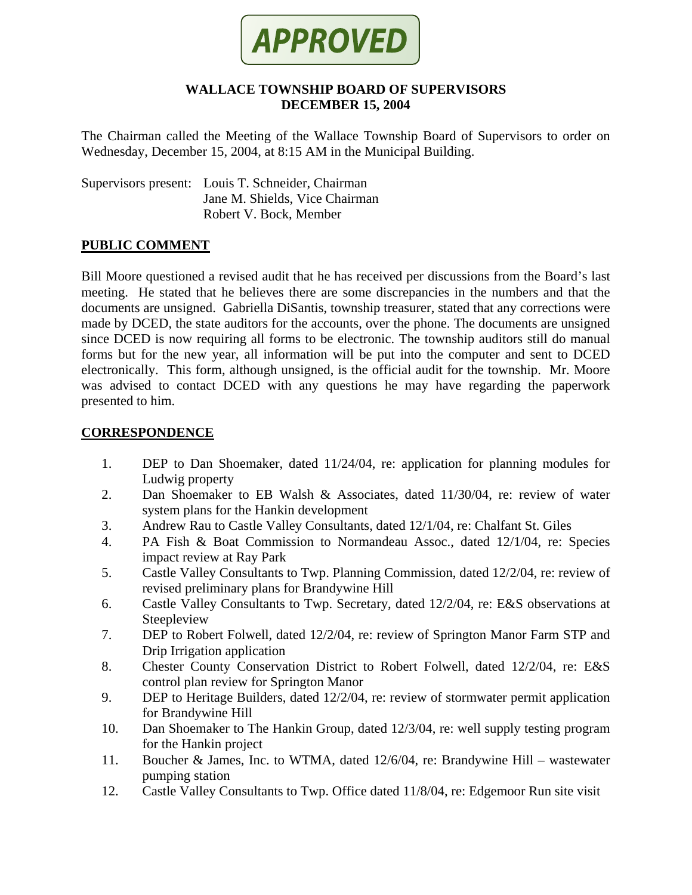

### **WALLACE TOWNSHIP BOARD OF SUPERVISORS DECEMBER 15, 2004**

The Chairman called the Meeting of the Wallace Township Board of Supervisors to order on Wednesday, December 15, 2004, at 8:15 AM in the Municipal Building.

Supervisors present: Louis T. Schneider, Chairman Jane M. Shields, Vice Chairman Robert V. Bock, Member

## **PUBLIC COMMENT**

Bill Moore questioned a revised audit that he has received per discussions from the Board's last meeting. He stated that he believes there are some discrepancies in the numbers and that the documents are unsigned. Gabriella DiSantis, township treasurer, stated that any corrections were made by DCED, the state auditors for the accounts, over the phone. The documents are unsigned since DCED is now requiring all forms to be electronic. The township auditors still do manual forms but for the new year, all information will be put into the computer and sent to DCED electronically. This form, although unsigned, is the official audit for the township. Mr. Moore was advised to contact DCED with any questions he may have regarding the paperwork presented to him.

### **CORRESPONDENCE**

- 1. DEP to Dan Shoemaker, dated 11/24/04, re: application for planning modules for Ludwig property
- 2. Dan Shoemaker to EB Walsh & Associates, dated 11/30/04, re: review of water system plans for the Hankin development
- 3. Andrew Rau to Castle Valley Consultants, dated 12/1/04, re: Chalfant St. Giles
- 4. PA Fish & Boat Commission to Normandeau Assoc., dated 12/1/04, re: Species impact review at Ray Park
- 5. Castle Valley Consultants to Twp. Planning Commission, dated 12/2/04, re: review of revised preliminary plans for Brandywine Hill
- 6. Castle Valley Consultants to Twp. Secretary, dated 12/2/04, re: E&S observations at Steepleview
- 7. DEP to Robert Folwell, dated 12/2/04, re: review of Springton Manor Farm STP and Drip Irrigation application
- 8. Chester County Conservation District to Robert Folwell, dated 12/2/04, re: E&S control plan review for Springton Manor
- 9. DEP to Heritage Builders, dated 12/2/04, re: review of stormwater permit application for Brandywine Hill
- 10. Dan Shoemaker to The Hankin Group, dated 12/3/04, re: well supply testing program for the Hankin project
- 11. Boucher & James, Inc. to WTMA, dated 12/6/04, re: Brandywine Hill wastewater pumping station
- 12. Castle Valley Consultants to Twp. Office dated 11/8/04, re: Edgemoor Run site visit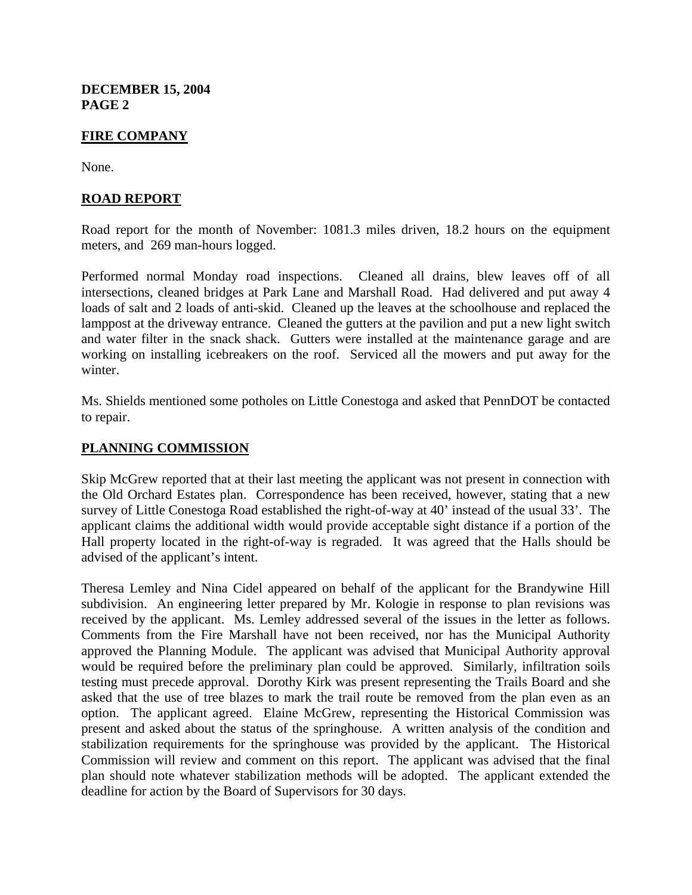**DECEMBER 15, 2004 PAGE 2**

## **FIRE COMPANY**

None.

## **ROAD REPORT**

Road report for the month of November: 1081.3 miles driven, 18.2 hours on the equipment meters, and 269 man-hours logged.

Performed normal Monday road inspections. Cleaned all drains, blew leaves off of all intersections, cleaned bridges at Park Lane and Marshall Road. Had delivered and put away 4 loads of salt and 2 loads of anti-skid. Cleaned up the leaves at the schoolhouse and replaced the lamppost at the driveway entrance. Cleaned the gutters at the pavilion and put a new light switch and water filter in the snack shack. Gutters were installed at the maintenance garage and are working on installing icebreakers on the roof. Serviced all the mowers and put away for the winter.

Ms. Shields mentioned some potholes on Little Conestoga and asked that PennDOT be contacted to repair.

### **PLANNING COMMISSION**

Skip McGrew reported that at their last meeting the applicant was not present in connection with the Old Orchard Estates plan. Correspondence has been received, however, stating that a new survey of Little Conestoga Road established the right-of-way at 40' instead of the usual 33'. The applicant claims the additional width would provide acceptable sight distance if a portion of the Hall property located in the right-of-way is regraded. It was agreed that the Halls should be advised of the applicant's intent.

Theresa Lemley and Nina Cidel appeared on behalf of the applicant for the Brandywine Hill subdivision. An engineering letter prepared by Mr. Kologie in response to plan revisions was received by the applicant. Ms. Lemley addressed several of the issues in the letter as follows. Comments from the Fire Marshall have not been received, nor has the Municipal Authority approved the Planning Module. The applicant was advised that Municipal Authority approval would be required before the preliminary plan could be approved. Similarly, infiltration soils testing must precede approval. Dorothy Kirk was present representing the Trails Board and she asked that the use of tree blazes to mark the trail route be removed from the plan even as an option. The applicant agreed. Elaine McGrew, representing the Historical Commission was present and asked about the status of the springhouse. A written analysis of the condition and stabilization requirements for the springhouse was provided by the applicant. The Historical Commission will review and comment on this report. The applicant was advised that the final plan should note whatever stabilization methods will be adopted. The applicant extended the deadline for action by the Board of Supervisors for 30 days.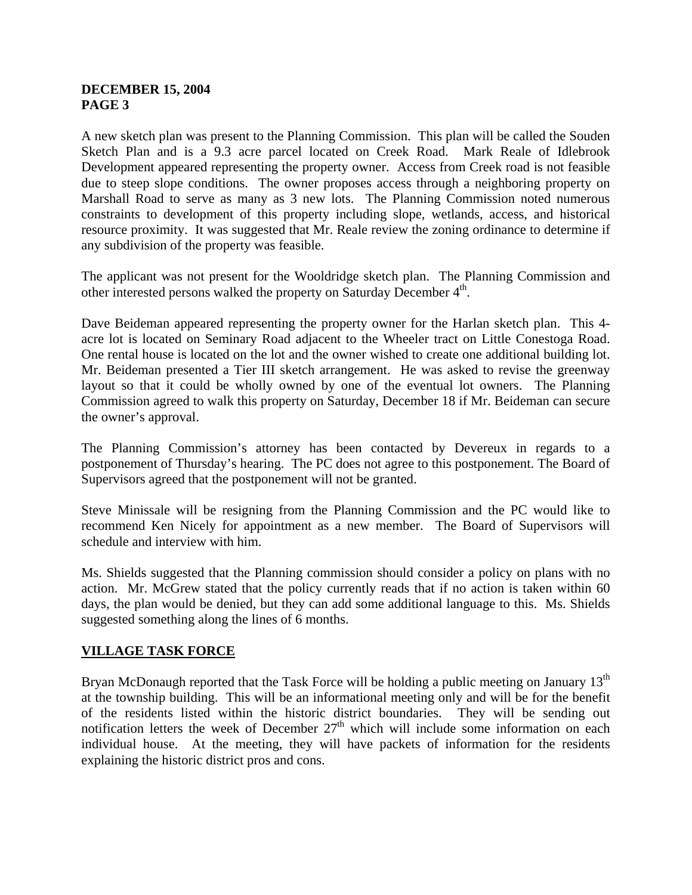## **DECEMBER 15, 2004 PAGE 3**

A new sketch plan was present to the Planning Commission. This plan will be called the Souden Sketch Plan and is a 9.3 acre parcel located on Creek Road. Mark Reale of Idlebrook Development appeared representing the property owner. Access from Creek road is not feasible due to steep slope conditions. The owner proposes access through a neighboring property on Marshall Road to serve as many as 3 new lots. The Planning Commission noted numerous constraints to development of this property including slope, wetlands, access, and historical resource proximity. It was suggested that Mr. Reale review the zoning ordinance to determine if any subdivision of the property was feasible.

The applicant was not present for the Wooldridge sketch plan. The Planning Commission and other interested persons walked the property on Saturday December  $4<sup>th</sup>$ .

Dave Beideman appeared representing the property owner for the Harlan sketch plan. This 4 acre lot is located on Seminary Road adjacent to the Wheeler tract on Little Conestoga Road. One rental house is located on the lot and the owner wished to create one additional building lot. Mr. Beideman presented a Tier III sketch arrangement. He was asked to revise the greenway layout so that it could be wholly owned by one of the eventual lot owners. The Planning Commission agreed to walk this property on Saturday, December 18 if Mr. Beideman can secure the owner's approval.

The Planning Commission's attorney has been contacted by Devereux in regards to a postponement of Thursday's hearing. The PC does not agree to this postponement. The Board of Supervisors agreed that the postponement will not be granted.

Steve Minissale will be resigning from the Planning Commission and the PC would like to recommend Ken Nicely for appointment as a new member. The Board of Supervisors will schedule and interview with him.

Ms. Shields suggested that the Planning commission should consider a policy on plans with no action. Mr. McGrew stated that the policy currently reads that if no action is taken within 60 days, the plan would be denied, but they can add some additional language to this. Ms. Shields suggested something along the lines of 6 months.

# **VILLAGE TASK FORCE**

Bryan McDonaugh reported that the Task Force will be holding a public meeting on January  $13<sup>th</sup>$ at the township building. This will be an informational meeting only and will be for the benefit of the residents listed within the historic district boundaries. They will be sending out notification letters the week of December  $27<sup>th</sup>$  which will include some information on each individual house. At the meeting, they will have packets of information for the residents explaining the historic district pros and cons.